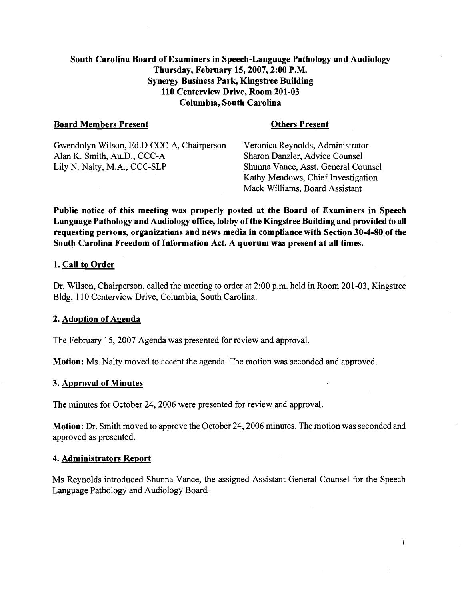# South Carolina Board of Examiners in Speech-Language Pathology and Audiology Thursday, February 15,2007,2:00 P.M. Synergy Business Park, Kingstree Building 110 Centerview Drive, Room 201-03 Columbia, South Carolina

#### Board Members Present **Communist Communist Present** Others Present

Gwendolyn Wilson, Ed.D CCC-A, Chairperson Veronica Reynolds, Administrator Alan K. Smith, Au.D., CCC-A Sharon Danzler, Advice Counsel Alan K. Smith, Au.D., CCC-A Sharon Danzler, Advice Counsel<br>
Lily N. Nalty, M.A., CCC-SLP Shunna Vance, Asst. General Counsel

Shunna Vance, Asst. General Counsel Kathy Meadows, Chief Investigation Mack Williams, Board Assistant

Public notice of this meeting was properly posted at the Board of Examiners in Speech Language Pathology and Audiology office, lobby of the Kingstree Building and provided to all requesting persons, organizations and news media in compliance with Section 30-4-80 of the South Carolina Freedom of Information Act. A quorum was present at all times.

#### 1. Call to Order

Dr. Wilson, Chairperson, called the meeting to order at 2:00 p.m. held in Room 201-03, Kingstree Bldg, 1 10 Centerview Drive, Columbia, South Carolina.

# 2. Adoption of Agenda

The February 15,2007 Agenda was presented for review and approval.

Motion: Ms. Nalty moved to accept the agenda. The motion was seconded and approved.

#### 3. Approval of Minutes

The minutes for October 24, 2006 were presented for review and approval.

Motion: Dr. Smith moved to approve the October 24,2006 minutes. The motion was seconded and approved as presented.

#### 4. Administrators Report

Ms Reynolds introduced Shunna Vance, the assigned Assistant General Counsel for the Speech Language Pathology and Audiology Board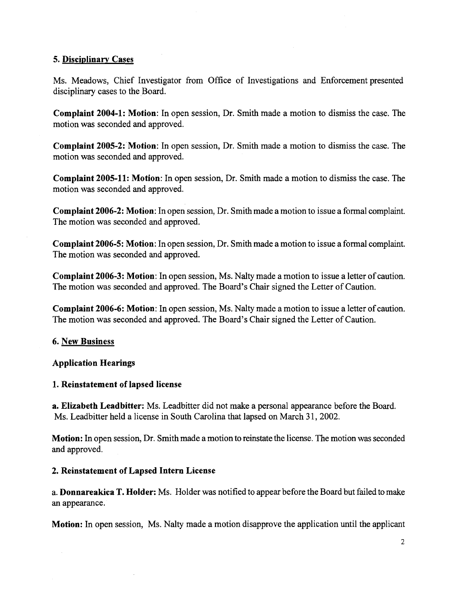#### **5. Disciplinarv Cases**

Ms. Meadows, Chief Investigator from Office of Investigations and Enforcement presented disciplinary cases to the Board.

**Complaint 2004-1: Motion:** In open session, Dr. Smith made a motion to dismiss the case. The motion was seconded and approved.

**Complaint 2005-2: Motion:** In open session, Dr. Smith made a motion to dismiss the case. The motion was seconded and approved.

**Complaint 2005-11: Motion:** In open session, Dr. Smith made a motion to dismiss the case. The motion was seconded and approved.

**Complaint 2006-2: Motion:** In open session, Dr. Smith made a motion to issue a formal complaint. The motion was seconded and approved.

**Complaint 2006-5: Motion:** In open session, Dr. Smith made a motion to issue a formal complaint. The motion was seconded and approved.

**Complaint 2006-3: Motion:** In open session, Ms. Nalty made a motion to issue a letter of caution. The motion was seconded and approved. The Board's Chair signed the Letter of Caution.

**Complaint 2006-6: Motion:** In open session, Ms. Nalty made a motion to issue a letter of caution. The motion was seconded and approved. The Board's Chair signed the Letter of Caution.

# **6. New Business**

# **Application Hearings**

# **1. Reinstatement of lapsed license**

**a. Elizabeth Leadbitter:** Ms. Leadbitter did not make a personal appearance before the Board. Ms. Leadbitter held a license in South Carolina that lapsed on March 31, 2002.

**Motion:** In open session, Dr. Smith made a motion to reinstate the license. The motion was seconded and approved.

# **2. Reinstatement of Lapsed Intern License**

a. **Donnareakica** T. **Holder:** Ms. Holder was notified to appear before the Board but failed to make an appearance.

**Motion:** In open session, Ms. Nalty made a motion disapprove the application until the applicant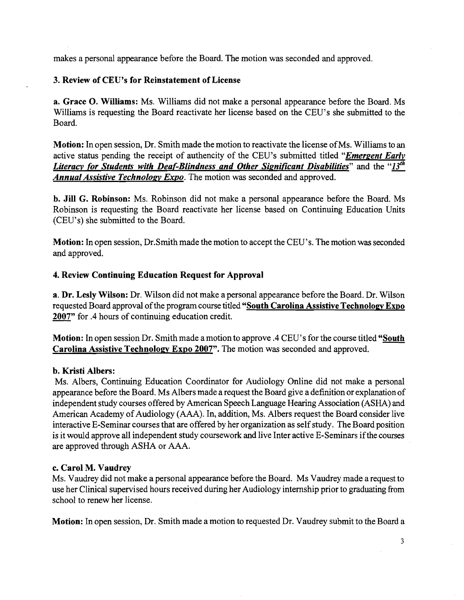makes a personal appearance before the Board. The motion was seconded and approved.

#### **3. Review of CEU's for Reinstatement of License**

**a. Grace 0. Williams:** Ms. Williams did not make a personal appearance before the Board. Ms Williams is requesting the Board reactivate her license based on the CEU's she submitted to the Board.

**Motion:** In open session, Dr. Smith made the motion to reactivate the license of Ms. Williams to an active status pending the receipt of authencity of the CEU's submitted titled "*Emergent Early Literacy for Students with Deaf-Blindness and Other Significant Disabilities*" and the "13<sup>th</sup> *Annual Assistive Technology Expo.* The motion was seconded and approved.

**b. Jill G. Robinson:** Ms. Robinson did not make a personal appearance before the Board. Ms Robinson is requesting the Board reactivate her license based on Continuing Education Units (CEU's) she submitted to the Board.

**Motion:** In open session, Dr.Smith made the motion to accept the CEU's. The motion was seconded and approved.

**4. Review Continuing Education Request for Approval a. Dr. Lesly Wilson:** Dr. Wilson did not make a personal approval of the program course titled "Soutl 2007" for .4 hours of continuing education credit. **a. Dr. Lesly Wilson:** Dr. Wilson did not make apersonal appearance before the Board. Dr. Wilson requested Board approval of the program course titled "South Carolina Assistive Technology Expo

**Motion:** In open session Dr. Smith made a motion to approve .4 CEU's for the course titled **"South Carolina Assistive Technology Expo 2007".** The motion was seconded and approved.

#### **b. Kristi Albers:**

Ms. Albers, Continuing Education Coordinator for Audiology Online did not make a personal appearance before the Board. Ms Albers made a request the Board give a definition or explanation of independent study courses offered by American Speech Language Hearing Association (ASHA) and American Academy of Audiology **(AAA).** In, addition, Ms. Albers request the Board consider live interactive E-Seminar courses that are offered by her organization as self study. The Board position is it would approve all independent study coursework and live Inter active E-Seminars if the courses are approved through ASHA or **AAA.** 

#### **c. Carol M. Vaudrey**

Ms. Vaudrey did not make a personal appearance before the Board. Ms Vaudrey made a request to use her Clinical supervised hours received during her Audiology internship prior to graduating from school to renew her license.

**Motion:** In open session, Dr. Smith made a motion to requested Dr. Vaudrey submit to the Board a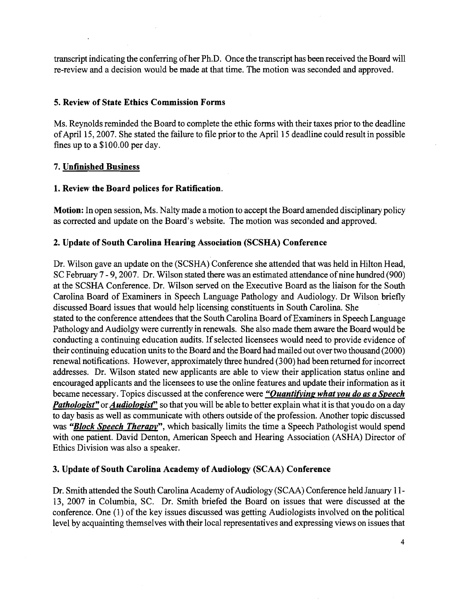transcript indicating the conferring of her Ph.D. Once the transcript has been received the Board will re-review and a decision would be made at that time. The motion was seconded and approved.

#### **5. Review of State Ethics Commission Forms**

Ms. Reynolds reminded the Board to complete the ethic forms with their taxes prior to the deadline of April 15,2007. She stated the failure to file prior to the April 15 deadline could result in possible fines up to a \$100.00 per day.

# **7. Unfinished Business**

#### **1. Review the Board polices for Ratification.**

**Motion:** In open session, Ms. Nalty made a motion to accept the Board amended disciplinary policy as corrected and update on the Board's website. The motion was seconded and approved.

#### **2. Update of South Carolina Hearing Association (SCSHA) Conference**

Dr. Wilson gave an update on the (SCSHA) Conference she attended that was held in Hilton Head, SC February 7 - 9,2007. Dr. Wilson stated there was an estimated attendance of nine hundred (900) at the SCSHA Conference. Dr. Wilson served on the Executive Board as the liaison for the South Carolina Board of Examiners in Speech Language Pathology and Audiology. Dr Wilson briefly discussed Board issues that would help licensing constituents in South Carolina. She stated to the conference attendees that the South Carolina Board of Examiners in Speech Language Pathology and Audiolgy were currently in renewals. She also made them aware the Board would beconducting a continuing education audits. If selected licensees would need to provide evidence of their continuing education units to the Board and the Board had mailed out over two thousand (2000) renewal notifications. However, approximately three hundred (300) had been returned for incorrect addresses. Dr. Wilson stated new applicants are able to view their application status online and encouraged applicants and the licensees to use the online features and update their information as it became necessary. Topics discussed at the conference were *"Ouantifvinp what vou do as a Speech Pathologist"* or *Audiologist*" so that you will be able to better explain what it is that you do on a day to day basis as well as communicate with others outside of the profession. Another topic discussed was *"Block Speech Therapv",* which basically limits the time a Speech Pathologist would spend with one patient. David Denton, American Speech and Hearing Association (ASHA) Director of Ethics Division was also a speaker.

# **3. Update of South Carolina Academy of Audiology (SCAA) Conference**

Dr. Smith attended the South Carolina Academy of Audiology (SCAA) Conference held January 1 1 - 13, 2007 in Columbia, SC. Dr. Smith briefed the Board on issues that were discussed at the conference. One (1) of the key issues discussed was getting Audiologists involved on the political level by acquainting themselves with their local representatives and expressing views on issues that